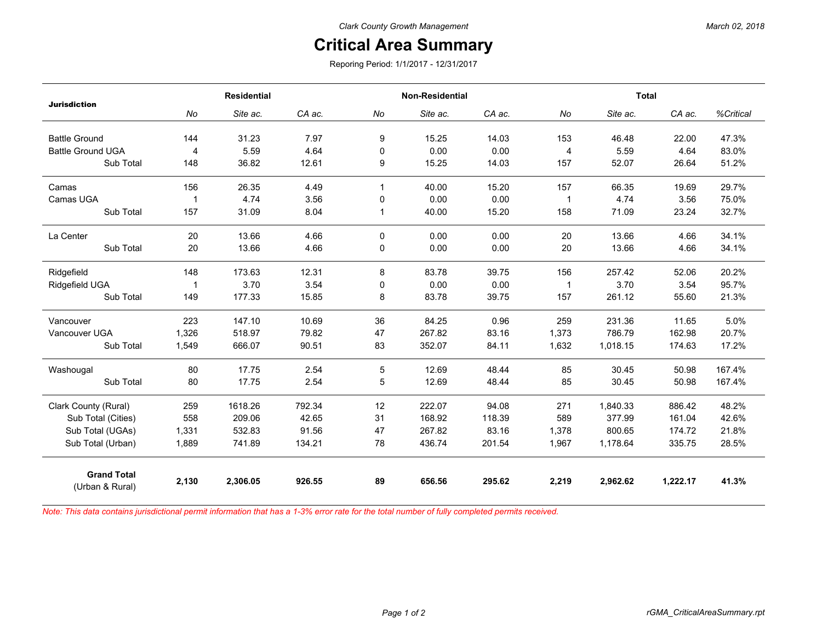## *March 02, 2018*

## **Critical Area Summary**

Reporing Period: 1/1/2017 - 12/31/2017

| <b>Jurisdiction</b>                   | <b>Residential</b> |          |        | <b>Non-Residential</b> |          |        | <b>Total</b> |          |          |           |
|---------------------------------------|--------------------|----------|--------|------------------------|----------|--------|--------------|----------|----------|-----------|
|                                       | No                 | Site ac. | CA ac. | No                     | Site ac. | CA ac. | No           | Site ac. | CA ac.   | %Critical |
| <b>Battle Ground</b>                  | 144                | 31.23    | 7.97   | 9                      | 15.25    | 14.03  | 153          | 46.48    | 22.00    | 47.3%     |
| <b>Battle Ground UGA</b>              | 4                  | 5.59     | 4.64   | 0                      | 0.00     | 0.00   | 4            | 5.59     | 4.64     | 83.0%     |
| Sub Total                             | 148                | 36.82    | 12.61  | 9                      | 15.25    | 14.03  | 157          | 52.07    | 26.64    | 51.2%     |
| Camas                                 | 156                | 26.35    | 4.49   | $\mathbf{1}$           | 40.00    | 15.20  | 157          | 66.35    | 19.69    | 29.7%     |
| Camas UGA                             | -1                 | 4.74     | 3.56   | 0                      | 0.00     | 0.00   | 1            | 4.74     | 3.56     | 75.0%     |
| Sub Total                             | 157                | 31.09    | 8.04   | $\mathbf{1}$           | 40.00    | 15.20  | 158          | 71.09    | 23.24    | 32.7%     |
| La Center                             | 20                 | 13.66    | 4.66   | $\Omega$               | 0.00     | 0.00   | 20           | 13.66    | 4.66     | 34.1%     |
| Sub Total                             | 20                 | 13.66    | 4.66   | 0                      | 0.00     | 0.00   | 20           | 13.66    | 4.66     | 34.1%     |
| Ridgefield                            | 148                | 173.63   | 12.31  | 8                      | 83.78    | 39.75  | 156          | 257.42   | 52.06    | 20.2%     |
| Ridgefield UGA                        | -1                 | 3.70     | 3.54   | 0                      | 0.00     | 0.00   | $\mathbf{1}$ | 3.70     | 3.54     | 95.7%     |
| Sub Total                             | 149                | 177.33   | 15.85  | 8                      | 83.78    | 39.75  | 157          | 261.12   | 55.60    | 21.3%     |
| Vancouver                             | 223                | 147.10   | 10.69  | 36                     | 84.25    | 0.96   | 259          | 231.36   | 11.65    | 5.0%      |
| Vancouver UGA                         | 1,326              | 518.97   | 79.82  | 47                     | 267.82   | 83.16  | 1,373        | 786.79   | 162.98   | 20.7%     |
| Sub Total                             | 1,549              | 666.07   | 90.51  | 83                     | 352.07   | 84.11  | 1,632        | 1,018.15 | 174.63   | 17.2%     |
| Washougal                             | 80                 | 17.75    | 2.54   | 5                      | 12.69    | 48.44  | 85           | 30.45    | 50.98    | 167.4%    |
| Sub Total                             | 80                 | 17.75    | 2.54   | 5                      | 12.69    | 48.44  | 85           | 30.45    | 50.98    | 167.4%    |
| Clark County (Rural)                  | 259                | 1618.26  | 792.34 | 12                     | 222.07   | 94.08  | 271          | 1,840.33 | 886.42   | 48.2%     |
| Sub Total (Cities)                    | 558                | 209.06   | 42.65  | 31                     | 168.92   | 118.39 | 589          | 377.99   | 161.04   | 42.6%     |
| Sub Total (UGAs)                      | 1,331              | 532.83   | 91.56  | 47                     | 267.82   | 83.16  | 1,378        | 800.65   | 174.72   | 21.8%     |
| Sub Total (Urban)                     | 1,889              | 741.89   | 134.21 | 78                     | 436.74   | 201.54 | 1,967        | 1,178.64 | 335.75   | 28.5%     |
| <b>Grand Total</b><br>(Urban & Rural) | 2,130              | 2,306.05 | 926.55 | 89                     | 656.56   | 295.62 | 2,219        | 2,962.62 | 1,222.17 | 41.3%     |

*Note: This data contains jurisdictional permit information that has a 1-3% error rate for the total number of fully completed permits received.*